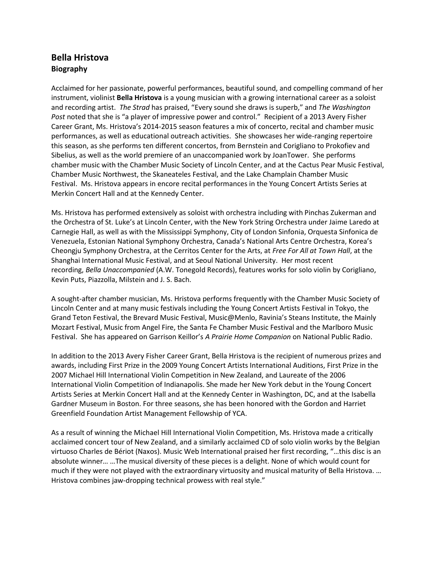## **Bella Hristova Biography**

Acclaimed for her passionate, powerful performances, beautiful sound, and compelling command of her instrument, violinist **Bella Hristova** is a young musician with a growing international career as a soloist and recording artist. *The Strad* has praised, "Every sound she draws is superb," and *The Washington Post* noted that she is "a player of impressive power and control." Recipient of a 2013 Avery Fisher Career Grant, Ms. Hristova's 2014-2015 season features a mix of concerto, recital and chamber music performances, as well as educational outreach activities. She showcases her wide-ranging repertoire this season, as she performs ten different concertos, from Bernstein and Corigliano to Prokofiev and Sibelius, as well as the world premiere of an unaccompanied work by JoanTower. She performs chamber music with the Chamber Music Society of Lincoln Center, and at the Cactus Pear Music Festival, Chamber Music Northwest, the Skaneateles Festival, and the Lake Champlain Chamber Music Festival. Ms. Hristova appears in encore recital performances in the Young Concert Artists Series at Merkin Concert Hall and at the Kennedy Center.

Ms. Hristova has performed extensively as soloist with orchestra including with Pinchas Zukerman and the Orchestra of St. Luke's at Lincoln Center, with the New York String Orchestra under Jaime Laredo at Carnegie Hall, as well as with the Mississippi Symphony, City of London Sinfonia, Orquesta Sinfonica de Venezuela, Estonian National Symphony Orchestra, Canada's National Arts Centre Orchestra, Korea's Cheongju Symphony Orchestra, at the Cerritos Center for the Arts, at *Free For All at Town Hall*, at the Shanghai International Music Festival, and at Seoul National University. Her most recent recording, *Bella Unaccompanied* (A.W. Tonegold Records), features works for solo violin by Corigliano, Kevin Puts, Piazzolla, Milstein and J. S. Bach.

A sought-after chamber musician, Ms. Hristova performs frequently with the Chamber Music Society of Lincoln Center and at many music festivals including the Young Concert Artists Festival in Tokyo, the Grand Teton Festival, the Brevard Music Festival, Music@Menlo, Ravinia's Steans Institute, the Mainly Mozart Festival, Music from Angel Fire, the Santa Fe Chamber Music Festival and the Marlboro Music Festival. She has appeared on Garrison Keillor's *A Prairie Home Companion* on National Public Radio.

In addition to the 2013 Avery Fisher Career Grant, Bella Hristova is the recipient of numerous prizes and awards, including First Prize in the 2009 Young Concert Artists International Auditions, First Prize in the 2007 Michael Hill International Violin Competition in New Zealand, and Laureate of the 2006 International Violin Competition of Indianapolis. She made her New York debut in the Young Concert Artists Series at Merkin Concert Hall and at the Kennedy Center in Washington, DC, and at the Isabella Gardner Museum in Boston. For three seasons, she has been honored with the Gordon and Harriet Greenfield Foundation Artist Management Fellowship of YCA.

As a result of winning the Michael Hill International Violin Competition, Ms. Hristova made a critically acclaimed concert tour of New Zealand, and a similarly acclaimed CD of solo violin works by the Belgian virtuoso Charles de Bériot (Naxos). Music Web International praised her first recording, "…this disc is an absolute winner… …The musical diversity of these pieces is a delight. None of which would count for much if they were not played with the extraordinary virtuosity and musical maturity of Bella Hristova. … Hristova combines jaw-dropping technical prowess with real style."